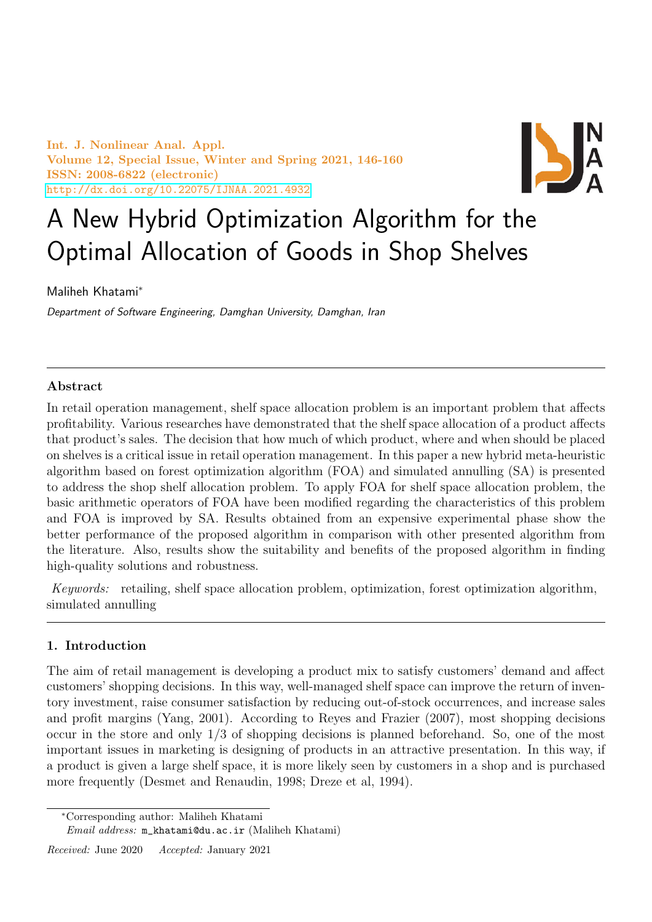Int. J. Nonlinear Anal. Appl. Volume 12, Special Issue, Winter and Spring 2021, 146-160 ISSN: 2008-6822 (electronic) <http://dx.doi.org/10.22075/IJNAA.2021.4932>



# A New Hybrid Optimization Algorithm for the Optimal Allocation of Goods in Shop Shelves

Maliheh Khatami<sup>∗</sup>

Department of Software Engineering, Damghan University, Damghan, Iran

## Abstract

In retail operation management, shelf space allocation problem is an important problem that affects profitability. Various researches have demonstrated that the shelf space allocation of a product affects that product's sales. The decision that how much of which product, where and when should be placed on shelves is a critical issue in retail operation management. In this paper a new hybrid meta-heuristic algorithm based on forest optimization algorithm (FOA) and simulated annulling (SA) is presented to address the shop shelf allocation problem. To apply FOA for shelf space allocation problem, the basic arithmetic operators of FOA have been modified regarding the characteristics of this problem and FOA is improved by SA. Results obtained from an expensive experimental phase show the better performance of the proposed algorithm in comparison with other presented algorithm from the literature. Also, results show the suitability and benefits of the proposed algorithm in finding high-quality solutions and robustness.

Keywords: retailing, shelf space allocation problem, optimization, forest optimization algorithm, simulated annulling

# 1. Introduction

The aim of retail management is developing a product mix to satisfy customers' demand and affect customers' shopping decisions. In this way, well-managed shelf space can improve the return of inventory investment, raise consumer satisfaction by reducing out-of-stock occurrences, and increase sales and profit margins (Yang, 2001). According to Reyes and Frazier (2007), most shopping decisions occur in the store and only 1/3 of shopping decisions is planned beforehand. So, one of the most important issues in marketing is designing of products in an attractive presentation. In this way, if a product is given a large shelf space, it is more likely seen by customers in a shop and is purchased more frequently (Desmet and Renaudin, 1998; Dreze et al, 1994).

Received: June 2020 Accepted: January 2021

<sup>∗</sup>Corresponding author: Maliheh Khatami

Email address: m\_khatami@du.ac.ir (Maliheh Khatami)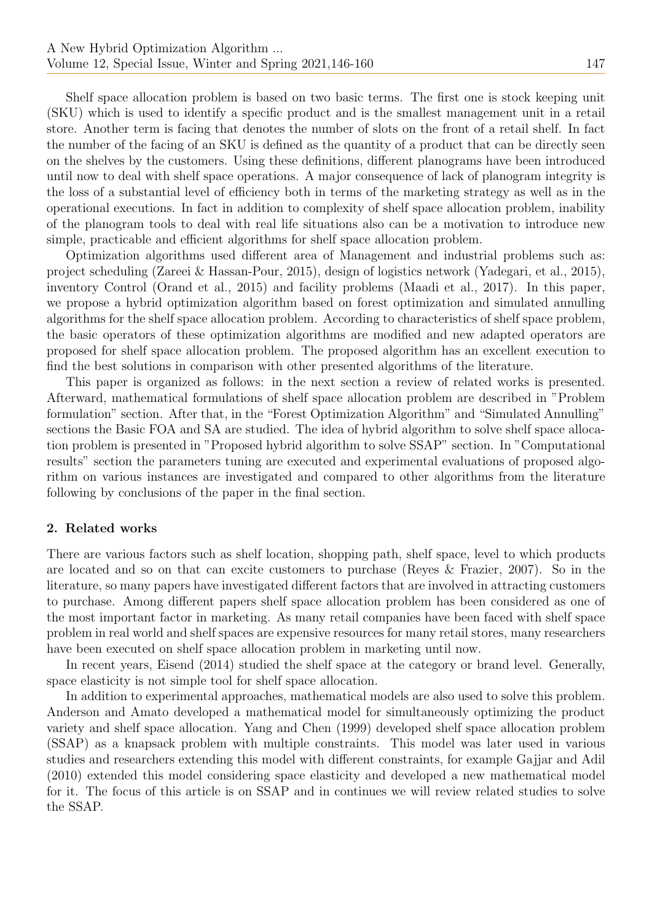Shelf space allocation problem is based on two basic terms. The first one is stock keeping unit (SKU) which is used to identify a specific product and is the smallest management unit in a retail store. Another term is facing that denotes the number of slots on the front of a retail shelf. In fact the number of the facing of an SKU is defined as the quantity of a product that can be directly seen on the shelves by the customers. Using these definitions, different planograms have been introduced until now to deal with shelf space operations. A major consequence of lack of planogram integrity is the loss of a substantial level of efficiency both in terms of the marketing strategy as well as in the operational executions. In fact in addition to complexity of shelf space allocation problem, inability of the planogram tools to deal with real life situations also can be a motivation to introduce new simple, practicable and efficient algorithms for shelf space allocation problem.

Optimization algorithms used different area of Management and industrial problems such as: project scheduling (Zareei & Hassan-Pour, 2015), design of logistics network (Yadegari, et al., 2015), inventory Control (Orand et al., 2015) and facility problems (Maadi et al., 2017). In this paper, we propose a hybrid optimization algorithm based on forest optimization and simulated annulling algorithms for the shelf space allocation problem. According to characteristics of shelf space problem, the basic operators of these optimization algorithms are modified and new adapted operators are proposed for shelf space allocation problem. The proposed algorithm has an excellent execution to find the best solutions in comparison with other presented algorithms of the literature.

This paper is organized as follows: in the next section a review of related works is presented. Afterward, mathematical formulations of shelf space allocation problem are described in "Problem formulation" section. After that, in the "Forest Optimization Algorithm" and "Simulated Annulling" sections the Basic FOA and SA are studied. The idea of hybrid algorithm to solve shelf space allocation problem is presented in "Proposed hybrid algorithm to solve SSAP" section. In "Computational results" section the parameters tuning are executed and experimental evaluations of proposed algorithm on various instances are investigated and compared to other algorithms from the literature following by conclusions of the paper in the final section.

#### 2. Related works

There are various factors such as shelf location, shopping path, shelf space, level to which products are located and so on that can excite customers to purchase (Reyes & Frazier, 2007). So in the literature, so many papers have investigated different factors that are involved in attracting customers to purchase. Among different papers shelf space allocation problem has been considered as one of the most important factor in marketing. As many retail companies have been faced with shelf space problem in real world and shelf spaces are expensive resources for many retail stores, many researchers have been executed on shelf space allocation problem in marketing until now.

In recent years, Eisend (2014) studied the shelf space at the category or brand level. Generally, space elasticity is not simple tool for shelf space allocation.

In addition to experimental approaches, mathematical models are also used to solve this problem. Anderson and Amato developed a mathematical model for simultaneously optimizing the product variety and shelf space allocation. Yang and Chen (1999) developed shelf space allocation problem (SSAP) as a knapsack problem with multiple constraints. This model was later used in various studies and researchers extending this model with different constraints, for example Gajjar and Adil (2010) extended this model considering space elasticity and developed a new mathematical model for it. The focus of this article is on SSAP and in continues we will review related studies to solve the SSAP.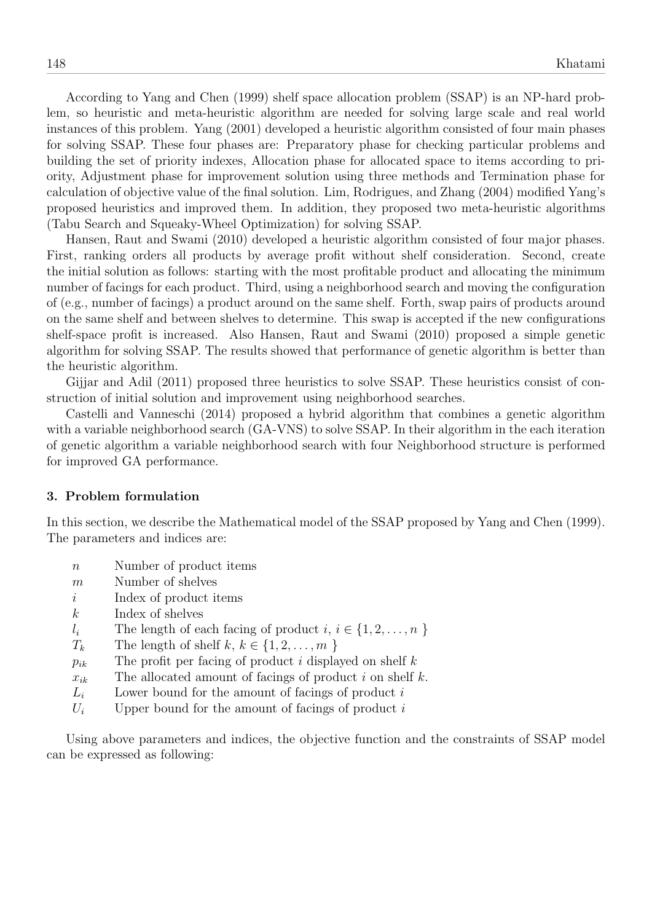According to Yang and Chen (1999) shelf space allocation problem (SSAP) is an NP-hard problem, so heuristic and meta-heuristic algorithm are needed for solving large scale and real world instances of this problem. Yang (2001) developed a heuristic algorithm consisted of four main phases for solving SSAP. These four phases are: Preparatory phase for checking particular problems and building the set of priority indexes, Allocation phase for allocated space to items according to priority, Adjustment phase for improvement solution using three methods and Termination phase for calculation of objective value of the final solution. Lim, Rodrigues, and Zhang (2004) modified Yang's proposed heuristics and improved them. In addition, they proposed two meta-heuristic algorithms (Tabu Search and Squeaky-Wheel Optimization) for solving SSAP.

Hansen, Raut and Swami (2010) developed a heuristic algorithm consisted of four major phases. First, ranking orders all products by average profit without shelf consideration. Second, create the initial solution as follows: starting with the most profitable product and allocating the minimum number of facings for each product. Third, using a neighborhood search and moving the configuration of (e.g., number of facings) a product around on the same shelf. Forth, swap pairs of products around on the same shelf and between shelves to determine. This swap is accepted if the new configurations shelf-space profit is increased. Also Hansen, Raut and Swami (2010) proposed a simple genetic algorithm for solving SSAP. The results showed that performance of genetic algorithm is better than the heuristic algorithm.

Gijjar and Adil (2011) proposed three heuristics to solve SSAP. These heuristics consist of construction of initial solution and improvement using neighborhood searches.

Castelli and Vanneschi (2014) proposed a hybrid algorithm that combines a genetic algorithm with a variable neighborhood search (GA-VNS) to solve SSAP. In their algorithm in the each iteration of genetic algorithm a variable neighborhood search with four Neighborhood structure is performed for improved GA performance.

#### 3. Problem formulation

In this section, we describe the Mathematical model of the SSAP proposed by Yang and Chen (1999). The parameters and indices are:

- n Number of product items
- m Number of shelves
- i Index of product items
- k Index of shelves
- $l_i$  The length of each facing of product  $i, i \in \{1, 2, \ldots, n\}$
- $T_k$  The length of shelf k,  $k \in \{1, 2, \ldots, m\}$
- $p_{ik}$  The profit per facing of product i displayed on shelf k
- $x_{ik}$  The allocated amount of facings of product i on shelf k.
- $L_i$  Lower bound for the amount of facings of product i
- $U_i$  Upper bound for the amount of facings of product i

Using above parameters and indices, the objective function and the constraints of SSAP model can be expressed as following: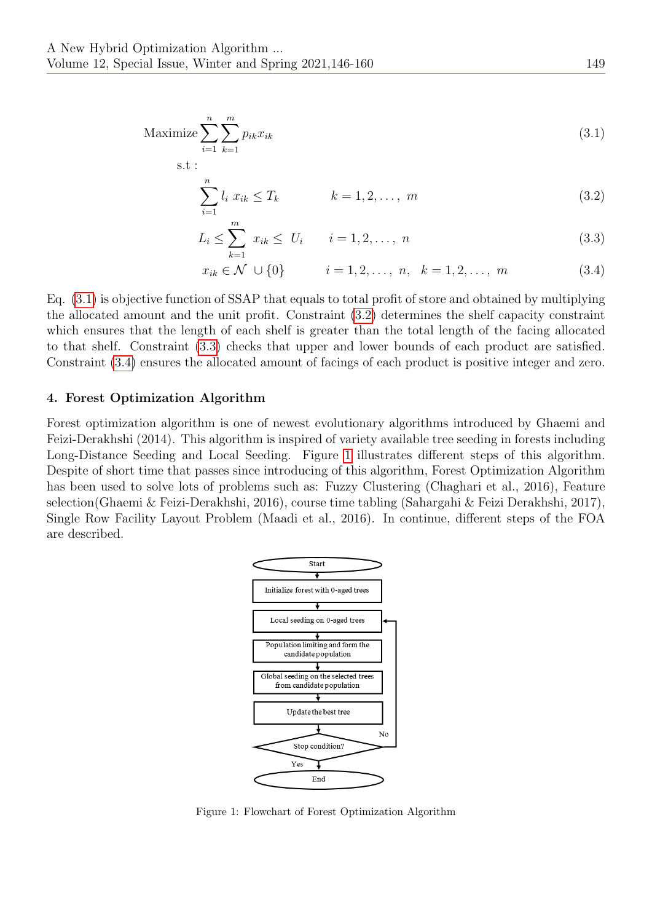s.t :

$$
\text{Maximize} \sum_{i=1}^{n} \sum_{k=1}^{m} p_{ik} x_{ik} \tag{3.1}
$$

<span id="page-3-1"></span><span id="page-3-0"></span>
$$
\sum_{i=1}^{n} l_i \ x_{ik} \le T_k \qquad k = 1, 2, \dots, m \tag{3.2}
$$

$$
L_i \le \sum_{k=1}^m x_{ik} \le U_i \qquad i = 1, 2, ..., n
$$
\n(3.3)

<span id="page-3-3"></span><span id="page-3-2"></span>
$$
x_{ik} \in \mathcal{N} \cup \{0\} \qquad i = 1, 2, \dots, n, \quad k = 1, 2, \dots, m \tag{3.4}
$$

Eq. [\(3.1\)](#page-3-0) is objective function of SSAP that equals to total profit of store and obtained by multiplying the allocated amount and the unit profit. Constraint [\(3.2\)](#page-3-1) determines the shelf capacity constraint which ensures that the length of each shelf is greater than the total length of the facing allocated to that shelf. Constraint [\(3.3\)](#page-3-2) checks that upper and lower bounds of each product are satisfied. Constraint [\(3.4\)](#page-3-3) ensures the allocated amount of facings of each product is positive integer and zero.

#### 4. Forest Optimization Algorithm

Forest optimization algorithm is one of newest evolutionary algorithms introduced by Ghaemi and Feizi-Derakhshi (2014). This algorithm is inspired of variety available tree seeding in forests including Long-Distance Seeding and Local Seeding. Figure [1](#page-3-4) illustrates different steps of this algorithm. Despite of short time that passes since introducing of this algorithm, Forest Optimization Algorithm has been used to solve lots of problems such as: Fuzzy Clustering (Chaghari et al., 2016), Feature selection(Ghaemi & Feizi-Derakhshi, 2016), course time tabling (Sahargahi & Feizi Derakhshi, 2017), Single Row Facility Layout Problem (Maadi et al., 2016). In continue, different steps of the FOA are described.



<span id="page-3-4"></span>Figure 1: Flowchart of Forest Optimization Algorithm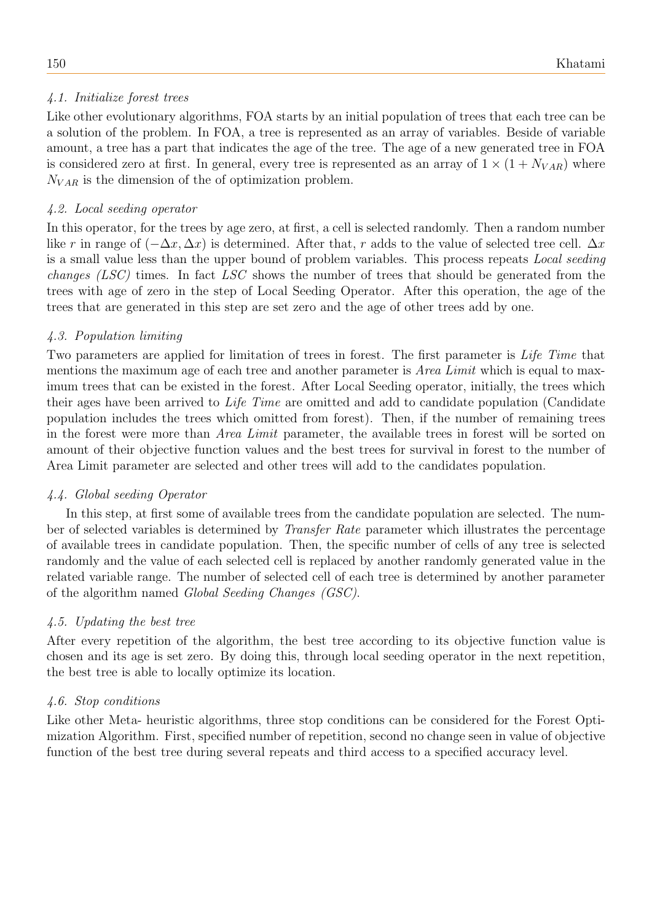# 4.1. Initialize forest trees

Like other evolutionary algorithms, FOA starts by an initial population of trees that each tree can be a solution of the problem. In FOA, a tree is represented as an array of variables. Beside of variable amount, a tree has a part that indicates the age of the tree. The age of a new generated tree in FOA is considered zero at first. In general, every tree is represented as an array of  $1 \times (1 + N_{VAR})$  where  $N_{VAR}$  is the dimension of the of optimization problem.

# 4.2. Local seeding operator

In this operator, for the trees by age zero, at first, a cell is selected randomly. Then a random number like r in range of  $(-\Delta x, \Delta x)$  is determined. After that, r adds to the value of selected tree cell.  $\Delta x$ is a small value less than the upper bound of problem variables. This process repeats Local seeding changes (LSC) times. In fact LSC shows the number of trees that should be generated from the trees with age of zero in the step of Local Seeding Operator. After this operation, the age of the trees that are generated in this step are set zero and the age of other trees add by one.

# 4.3. Population limiting

Two parameters are applied for limitation of trees in forest. The first parameter is Life Time that mentions the maximum age of each tree and another parameter is *Area Limit* which is equal to maximum trees that can be existed in the forest. After Local Seeding operator, initially, the trees which their ages have been arrived to Life Time are omitted and add to candidate population (Candidate population includes the trees which omitted from forest). Then, if the number of remaining trees in the forest were more than Area Limit parameter, the available trees in forest will be sorted on amount of their objective function values and the best trees for survival in forest to the number of Area Limit parameter are selected and other trees will add to the candidates population.

## 4.4. Global seeding Operator

In this step, at first some of available trees from the candidate population are selected. The number of selected variables is determined by Transfer Rate parameter which illustrates the percentage of available trees in candidate population. Then, the specific number of cells of any tree is selected randomly and the value of each selected cell is replaced by another randomly generated value in the related variable range. The number of selected cell of each tree is determined by another parameter of the algorithm named Global Seeding Changes (GSC).

## 4.5. Updating the best tree

After every repetition of the algorithm, the best tree according to its objective function value is chosen and its age is set zero. By doing this, through local seeding operator in the next repetition, the best tree is able to locally optimize its location.

## 4.6. Stop conditions

Like other Meta- heuristic algorithms, three stop conditions can be considered for the Forest Optimization Algorithm. First, specified number of repetition, second no change seen in value of objective function of the best tree during several repeats and third access to a specified accuracy level.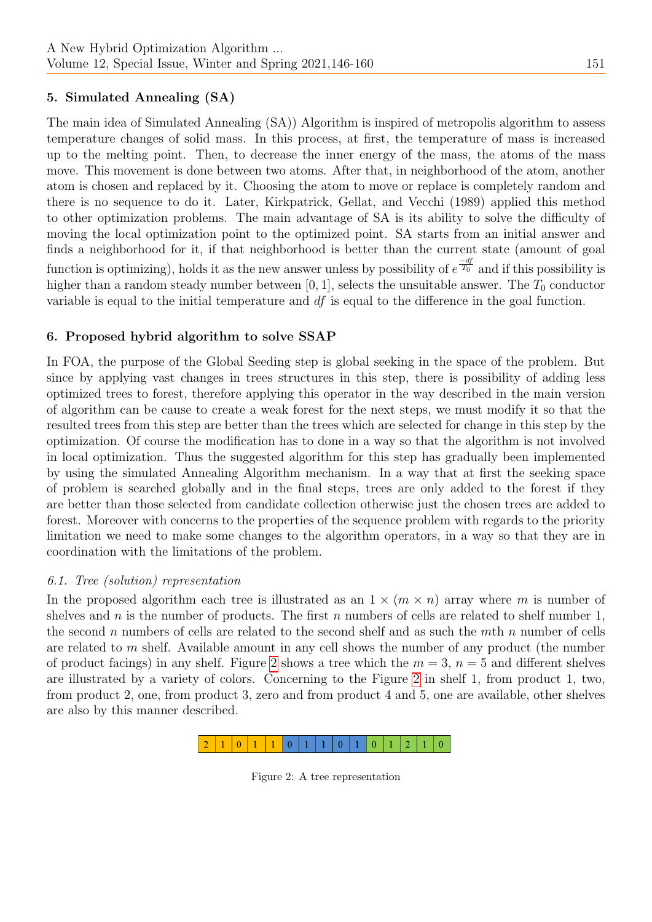# 5. Simulated Annealing (SA)

The main idea of Simulated Annealing (SA)) Algorithm is inspired of metropolis algorithm to assess temperature changes of solid mass. In this process, at first, the temperature of mass is increased up to the melting point. Then, to decrease the inner energy of the mass, the atoms of the mass move. This movement is done between two atoms. After that, in neighborhood of the atom, another atom is chosen and replaced by it. Choosing the atom to move or replace is completely random and there is no sequence to do it. Later, Kirkpatrick, Gellat, and Vecchi (1989) applied this method to other optimization problems. The main advantage of SA is its ability to solve the difficulty of moving the local optimization point to the optimized point. SA starts from an initial answer and finds a neighborhood for it, if that neighborhood is better than the current state (amount of goal function is optimizing), holds it as the new answer unless by possibility of  $e^{\frac{-df}{T_0}}$  and if this possibility is higher than a random steady number between [0, 1], selects the unsuitable answer. The  $T_0$  conductor variable is equal to the initial temperature and df is equal to the difference in the goal function.

## 6. Proposed hybrid algorithm to solve SSAP

In FOA, the purpose of the Global Seeding step is global seeking in the space of the problem. But since by applying vast changes in trees structures in this step, there is possibility of adding less optimized trees to forest, therefore applying this operator in the way described in the main version of algorithm can be cause to create a weak forest for the next steps, we must modify it so that the resulted trees from this step are better than the trees which are selected for change in this step by the optimization. Of course the modification has to done in a way so that the algorithm is not involved in local optimization. Thus the suggested algorithm for this step has gradually been implemented by using the simulated Annealing Algorithm mechanism. In a way that at first the seeking space of problem is searched globally and in the final steps, trees are only added to the forest if they are better than those selected from candidate collection otherwise just the chosen trees are added to forest. Moreover with concerns to the properties of the sequence problem with regards to the priority limitation we need to make some changes to the algorithm operators, in a way so that they are in coordination with the limitations of the problem.

#### 6.1. Tree (solution) representation

In the proposed algorithm each tree is illustrated as an  $1 \times (m \times n)$  array where m is number of shelves and n is the number of products. The first n numbers of cells are related to shelf number 1, the second n numbers of cells are related to the second shelf and as such the  $m$ th n number of cells are related to  $m$  shelf. Available amount in any cell shows the number of any product (the number of product facings) in any shelf. Figure [2](#page-5-0) shows a tree which the  $m = 3$ ,  $n = 5$  and different shelves are illustrated by a variety of colors. Concerning to the Figure [2](#page-5-0) in shelf 1, from product 1, two, from product 2, one, from product 3, zero and from product 4 and 5, one are available, other shelves are also by this manner described.

<span id="page-5-0"></span>

Figure 2: A tree representation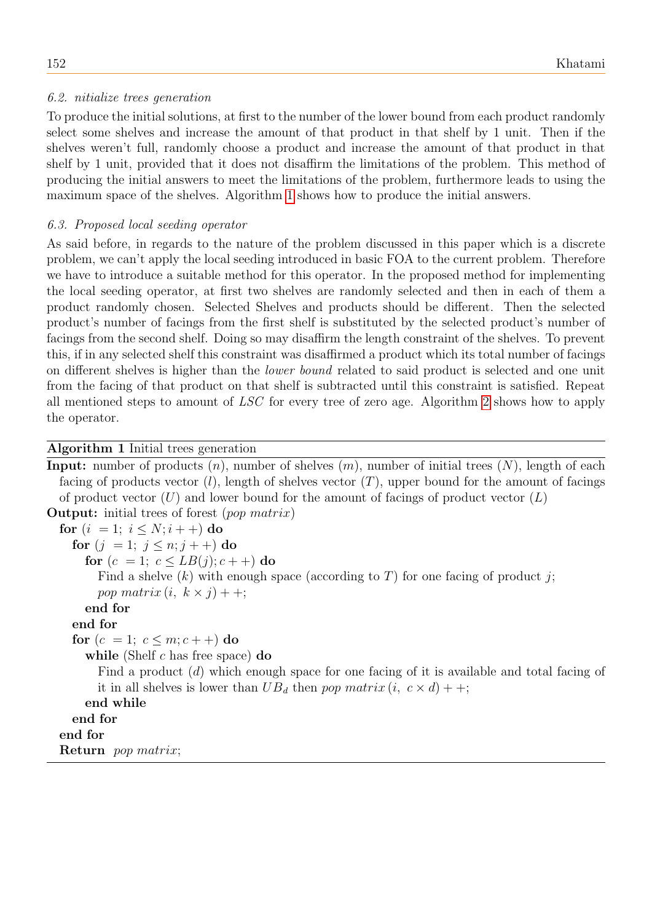# 6.2. nitialize trees generation

To produce the initial solutions, at first to the number of the lower bound from each product randomly select some shelves and increase the amount of that product in that shelf by 1 unit. Then if the shelves weren't full, randomly choose a product and increase the amount of that product in that shelf by 1 unit, provided that it does not disaffirm the limitations of the problem. This method of producing the initial answers to meet the limitations of the problem, furthermore leads to using the maximum space of the shelves. Algorithm [1](#page-6-0) shows how to produce the initial answers.

# 6.3. Proposed local seeding operator

As said before, in regards to the nature of the problem discussed in this paper which is a discrete problem, we can't apply the local seeding introduced in basic FOA to the current problem. Therefore we have to introduce a suitable method for this operator. In the proposed method for implementing the local seeding operator, at first two shelves are randomly selected and then in each of them a product randomly chosen. Selected Shelves and products should be different. Then the selected product's number of facings from the first shelf is substituted by the selected product's number of facings from the second shelf. Doing so may disaffirm the length constraint of the shelves. To prevent this, if in any selected shelf this constraint was disaffirmed a product which its total number of facings on different shelves is higher than the lower bound related to said product is selected and one unit from the facing of that product on that shelf is subtracted until this constraint is satisfied. Repeat all mentioned steps to amount of LSC for every tree of zero age. Algorithm [2](#page-7-0) shows how to apply the operator.

# Algorithm 1 Initial trees generation

<span id="page-6-0"></span>**Input:** number of products  $(n)$ , number of shelves  $(m)$ , number of initial trees  $(N)$ , length of each facing of products vector  $(l)$ , length of shelves vector  $(T)$ , upper bound for the amount of facings of product vector  $(U)$  and lower bound for the amount of facings of product vector  $(L)$ Output: initial trees of forest (pop matrix) for  $(i = 1; i \leq N; i++)$  do for  $(j = 1; j \leq n; j++)$  do for  $(c = 1; c \le LB(j); c++)$  do Find a shelve  $(k)$  with enough space (according to T) for one facing of product j; pop matrix  $(i, k \times j)$  + +; end for end for for  $(c = 1; c \leq m; c + +)$  do while (Shelf  $c$  has free space) do Find a product (d) which enough space for one facing of it is available and total facing of it in all shelves is lower than  $UB_d$  then pop matrix  $(i, c \times d)$  + +; end while end for end for Return pop matrix;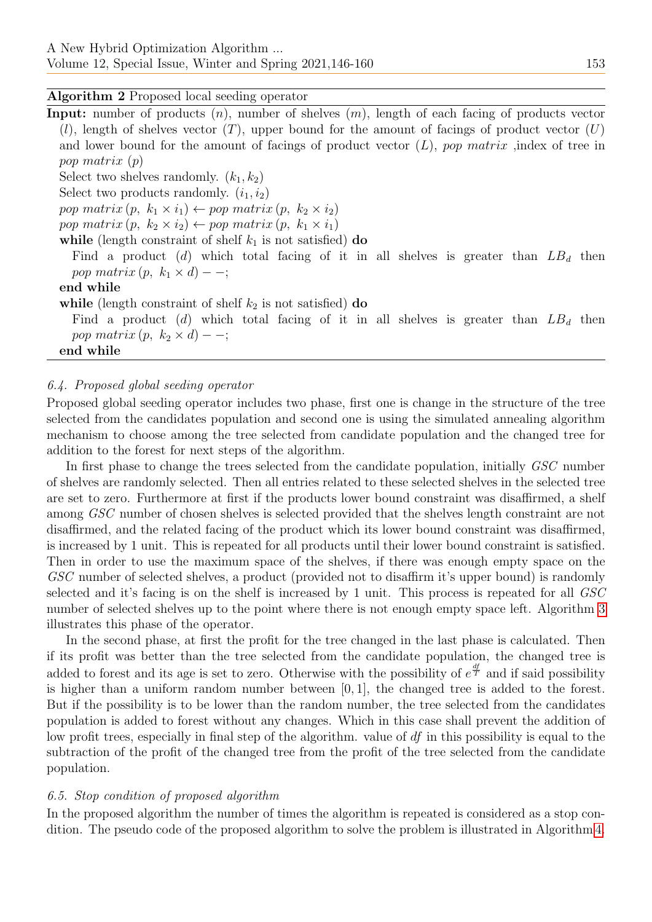## Algorithm 2 Proposed local seeding operator

<span id="page-7-0"></span>**Input:** number of products  $(n)$ , number of shelves  $(m)$ , length of each facing of products vector  $(l)$ , length of shelves vector  $(T)$ , upper bound for the amount of facings of product vector  $(U)$ and lower bound for the amount of facings of product vector  $(L)$ , pop matrix ,index of tree in pop matrix (p)

Select two shelves randomly.  $(k_1, k_2)$ 

Select two products randomly.  $(i_1, i_2)$ 

pop matrix  $(p, k_1 \times i_1) \leftarrow pop \ matrix (p, k_2 \times i_2)$ 

pop matrix  $(p, k_2 \times i_2) \leftarrow pop \ matrix (p, k_1 \times i_1)$ 

while (length constraint of shelf  $k_1$  is not satisfied) do

Find a product (d) which total facing of it in all shelves is greater than  $LB<sub>d</sub>$  then pop matrix  $(p, k_1 \times d)$  – –;

## end while

while (length constraint of shelf  $k_2$  is not satisfied) do

Find a product (d) which total facing of it in all shelves is greater than  $LB<sub>d</sub>$  then pop matrix  $(p, k_2 \times d)$  – –;

end while

## 6.4. Proposed global seeding operator

Proposed global seeding operator includes two phase, first one is change in the structure of the tree selected from the candidates population and second one is using the simulated annealing algorithm mechanism to choose among the tree selected from candidate population and the changed tree for addition to the forest for next steps of the algorithm.

In first phase to change the trees selected from the candidate population, initially GSC number of shelves are randomly selected. Then all entries related to these selected shelves in the selected tree are set to zero. Furthermore at first if the products lower bound constraint was disaffirmed, a shelf among GSC number of chosen shelves is selected provided that the shelves length constraint are not disaffirmed, and the related facing of the product which its lower bound constraint was disaffirmed, is increased by 1 unit. This is repeated for all products until their lower bound constraint is satisfied. Then in order to use the maximum space of the shelves, if there was enough empty space on the GSC number of selected shelves, a product (provided not to disaffirm it's upper bound) is randomly selected and it's facing is on the shelf is increased by 1 unit. This process is repeated for all GSC number of selected shelves up to the point where there is not enough empty space left. Algorithm [3](#page-8-0) illustrates this phase of the operator.

In the second phase, at first the profit for the tree changed in the last phase is calculated. Then if its profit was better than the tree selected from the candidate population, the changed tree is added to forest and its age is set to zero. Otherwise with the possibility of  $e^{\frac{df}{T}}$  and if said possibility is higher than a uniform random number between [0, 1], the changed tree is added to the forest. But if the possibility is to be lower than the random number, the tree selected from the candidates population is added to forest without any changes. Which in this case shall prevent the addition of low profit trees, especially in final step of the algorithm. value of df in this possibility is equal to the subtraction of the profit of the changed tree from the profit of the tree selected from the candidate population.

## 6.5. Stop condition of proposed algorithm

In the proposed algorithm the number of times the algorithm is repeated is considered as a stop condition. The pseudo code of the proposed algorithm to solve the problem is illustrated in Algorithm [4.](#page-9-0)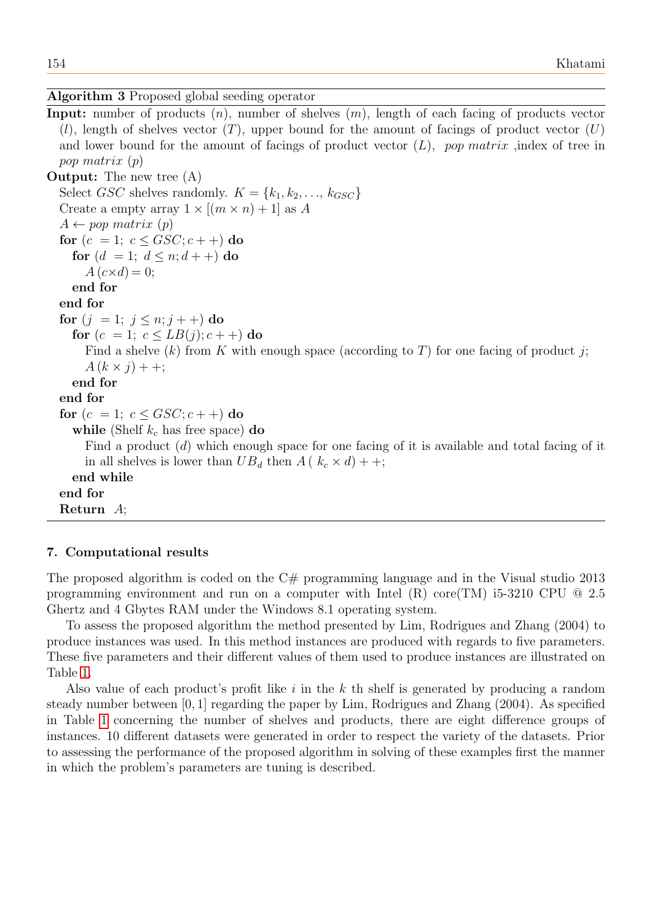## Algorithm 3 Proposed global seeding operator

<span id="page-8-0"></span>**Input:** number of products  $(n)$ , number of shelves  $(m)$ , length of each facing of products vector  $(l)$ , length of shelves vector  $(T)$ , upper bound for the amount of facings of product vector  $(U)$ and lower bound for the amount of facings of product vector  $(L)$ , pop matrix ,index of tree in pop matrix (p)

Output: The new tree (A) Select GSC shelves randomly.  $K = \{k_1, k_2, \ldots, k_{GSC}\}\$ Create a empty array  $1 \times [(m \times n) + 1]$  as A  $A \leftarrow pop \; matrix \; (p)$ for  $(c = 1; c \leq GSC; c++)$  do for  $(d = 1; d \le n; d++)$  do  $A(c\times d)=0;$ end for end for for  $(j = 1; j \leq n; j++)$  do for  $(c = 1; c \le LB(j); c++)$  do Find a shelve  $(k)$  from K with enough space (according to T) for one facing of product j;  $A (k \times i) + +$ ; end for end for for  $(c = 1; c \leq GSC; c++)$  do while (Shelf  $k_c$  has free space) do Find a product (d) which enough space for one facing of it is available and total facing of it in all shelves is lower than  $UB_d$  then  $A(k_c \times d) + +$ ; end while end for Return A;

## 7. Computational results

The proposed algorithm is coded on the C# programming language and in the Visual studio 2013 programming environment and run on a computer with Intel (R) core(TM) i5-3210 CPU @ 2.5 Ghertz and 4 Gbytes RAM under the Windows 8.1 operating system.

To assess the proposed algorithm the method presented by Lim, Rodrigues and Zhang (2004) to produce instances was used. In this method instances are produced with regards to five parameters. These five parameters and their different values of them used to produce instances are illustrated on Table [1.](#page-10-0)

Also value of each product's profit like  $i$  in the  $k$  th shelf is generated by producing a random steady number between [0, 1] regarding the paper by Lim, Rodrigues and Zhang (2004). As specified in Table [1](#page-10-0) concerning the number of shelves and products, there are eight difference groups of instances. 10 different datasets were generated in order to respect the variety of the datasets. Prior to assessing the performance of the proposed algorithm in solving of these examples first the manner in which the problem's parameters are tuning is described.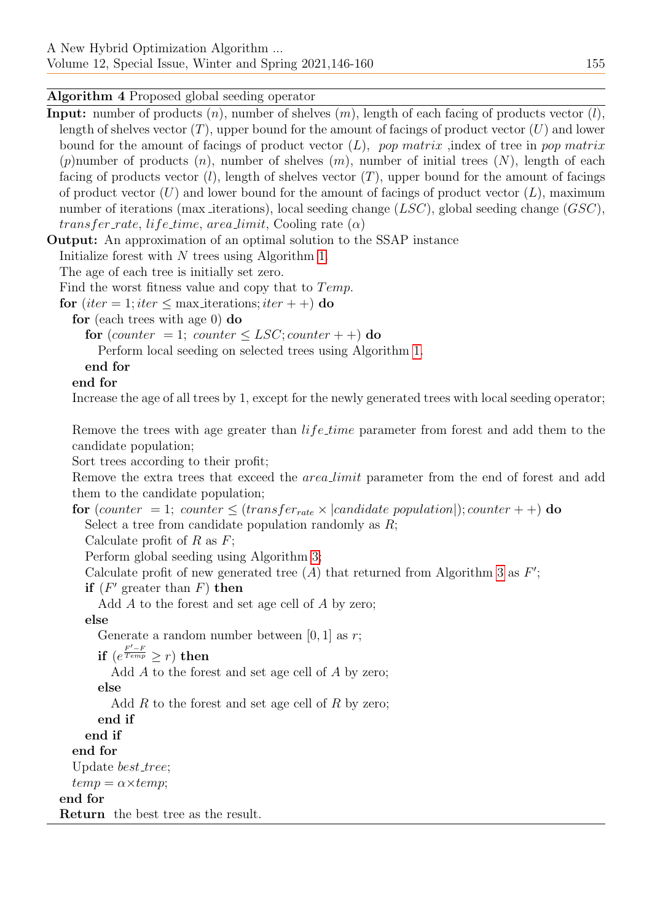Algorithm 4 Proposed global seeding operator

<span id="page-9-0"></span>**Input:** number of products  $(n)$ , number of shelves  $(m)$ , length of each facing of products vector  $(l)$ , length of shelves vector  $(T)$ , upper bound for the amount of facings of product vector  $(U)$  and lower bound for the amount of facings of product vector  $(L)$ , pop matrix , index of tree in pop matrix (p) number of products  $(n)$ , number of shelves  $(m)$ , number of initial trees  $(N)$ , length of each facing of products vector  $(l)$ , length of shelves vector  $(T)$ , upper bound for the amount of facings of product vector  $(U)$  and lower bound for the amount of facings of product vector  $(L)$ , maximum number of iterations (max iterations), local seeding change  $(LSC)$ , global seeding change  $(GSC)$ , transfer\_rate, life\_time, area\_limit, Cooling rate  $(\alpha)$ 

Output: An approximation of an optimal solution to the SSAP instance

Initialize forest with N trees using Algorithm [1.](#page-6-0)

The age of each tree is initially set zero.

Find the worst fitness value and copy that to  $Temp$ .

for (iter = 1; iter  $\leq$  max iterations; iter + +) do

for (each trees with age 0) do

for (counter = 1; counter  $\leq LSC$ ; counter + +) do

Perform local seeding on selected trees using Algorithm [1.](#page-6-0)

# end for

# end for

Increase the age of all trees by 1, except for the newly generated trees with local seeding operator;

Remove the trees with age greater than *life\_time* parameter from forest and add them to the candidate population;

Sort trees according to their profit;

Remove the extra trees that exceed the *area limit* parameter from the end of forest and add them to the candidate population;

for (counter = 1; counter  $\leq$  (transfer<sub>rate</sub>  $\times$  |candidate population|); counter + +) do Select a tree from candidate population randomly as  $R$ ;

Calculate profit of  $R$  as  $F$ ;

Perform global seeding using Algorithm [3;](#page-8-0)

Calculate profit of new generated tree  $(A)$  that returned from Algorithm [3](#page-8-0) as  $F'$ ;

if  $(F'$  greater than  $F)$  then

Add A to the forest and set age cell of A by zero;

else

Generate a random number between  $[0, 1]$  as r;

 $\displaystyle \text{if}\,\, (e^{\frac{F'-F}{Temp}}\geq r)\,\, \text{then}$ 

Add A to the forest and set age cell of A by zero;

else

Add  $R$  to the forest and set age cell of  $R$  by zero;

end if

end if

end for

Update *best\_tree*;

 $temp = \alpha \times temp;$ 

# end for

Return the best tree as the result.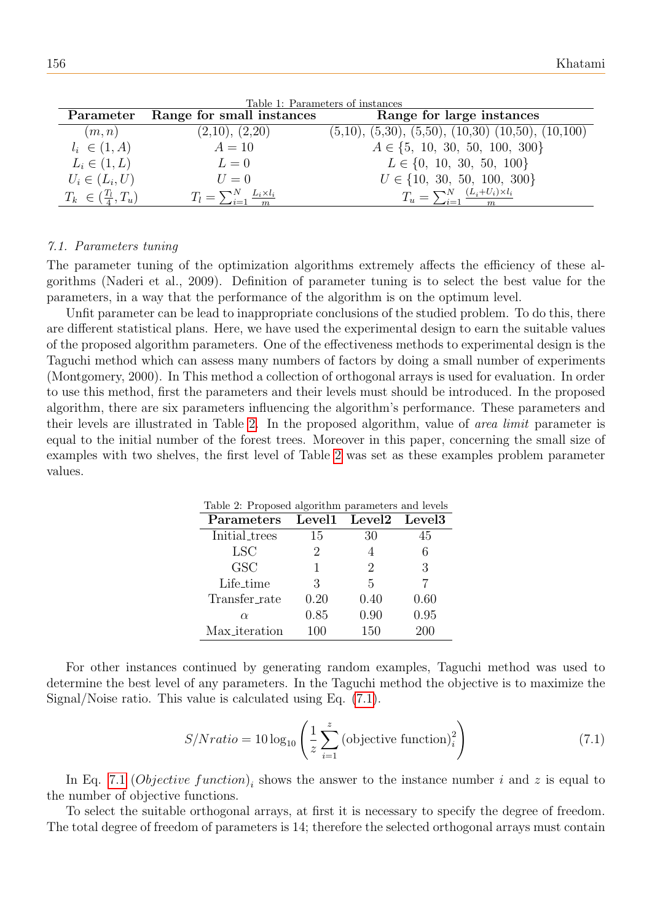<span id="page-10-0"></span>

| Parameter                      | Range for small instances                       | Range for large instances                               |
|--------------------------------|-------------------------------------------------|---------------------------------------------------------|
| (m, n)                         | (2,10), (2,20)                                  | $(5,10), (5,30), (5,50), (10,30), (10,50), (10,100)$    |
| $l_i \in (1, A)$               | $A=10$                                          | $A \in \{5, 10, 30, 50, 100, 300\}$                     |
| $L_i \in (1, L)$               | $L=0$                                           | $L \in \{0, 10, 30, 50, 100\}$                          |
| $U_i \in (L_i, U)$             | $U=0$                                           | $U \in \{10, 30, 50, 100, 300\}$                        |
| $T_k \in (\frac{T_l}{4}, T_u)$ | $T_l = \sum_{i=1}^{N} \frac{L_i \times l_i}{m}$ | $T_u = \sum_{i=1}^{N} \frac{(L_i + U_i) \times l_i}{m}$ |

Table 1: Parameters of instances

## 7.1. Parameters tuning

The parameter tuning of the optimization algorithms extremely affects the efficiency of these algorithms (Naderi et al., 2009). Definition of parameter tuning is to select the best value for the parameters, in a way that the performance of the algorithm is on the optimum level.

Unfit parameter can be lead to inappropriate conclusions of the studied problem. To do this, there are different statistical plans. Here, we have used the experimental design to earn the suitable values of the proposed algorithm parameters. One of the effectiveness methods to experimental design is the Taguchi method which can assess many numbers of factors by doing a small number of experiments (Montgomery, 2000). In This method a collection of orthogonal arrays is used for evaluation. In order to use this method, first the parameters and their levels must should be introduced. In the proposed algorithm, there are six parameters influencing the algorithm's performance. These parameters and their levels are illustrated in Table [2.](#page-10-1) In the proposed algorithm, value of area limit parameter is equal to the initial number of the forest trees. Moreover in this paper, concerning the small size of examples with two shelves, the first level of Table [2](#page-10-1) was set as these examples problem parameter values.

<span id="page-10-1"></span>

| Table 2: Proposed algorithm parameters and levels |                             |                               |      |  |  |  |  |  |
|---------------------------------------------------|-----------------------------|-------------------------------|------|--|--|--|--|--|
| Parameters                                        |                             | Level1 Level2 Level3          |      |  |  |  |  |  |
| <b>Initial_trees</b>                              | 15                          | 30                            | 45   |  |  |  |  |  |
| <b>LSC</b>                                        | $\mathcal{D}_{\mathcal{L}}$ |                               | 6    |  |  |  |  |  |
| <b>GSC</b>                                        |                             | $\mathfrak{D}_{\mathfrak{p}}$ | 3    |  |  |  |  |  |
| Life_time                                         | 3                           | 5                             |      |  |  |  |  |  |
| Transfer_rate                                     | 0.20                        | 0.40                          | 0.60 |  |  |  |  |  |
| $\alpha$                                          | 0.85                        | 0.90                          | 0.95 |  |  |  |  |  |
| Max_iteration                                     | 100                         | 150                           |      |  |  |  |  |  |

For other instances continued by generating random examples, Taguchi method was used to determine the best level of any parameters. In the Taguchi method the objective is to maximize the Signal/Noise ratio. This value is calculated using Eq. [\(7.1\)](#page-10-2).

<span id="page-10-2"></span>
$$
S/N ratio = 10 \log_{10} \left( \frac{1}{z} \sum_{i=1}^{z} \left( \text{objective function} \right)_i^2 \right) \tag{7.1}
$$

In Eq. [7.1](#page-10-2) (*Objective function*)<sub>i</sub> shows the answer to the instance number i and z is equal to the number of objective functions.

To select the suitable orthogonal arrays, at first it is necessary to specify the degree of freedom. The total degree of freedom of parameters is 14; therefore the selected orthogonal arrays must contain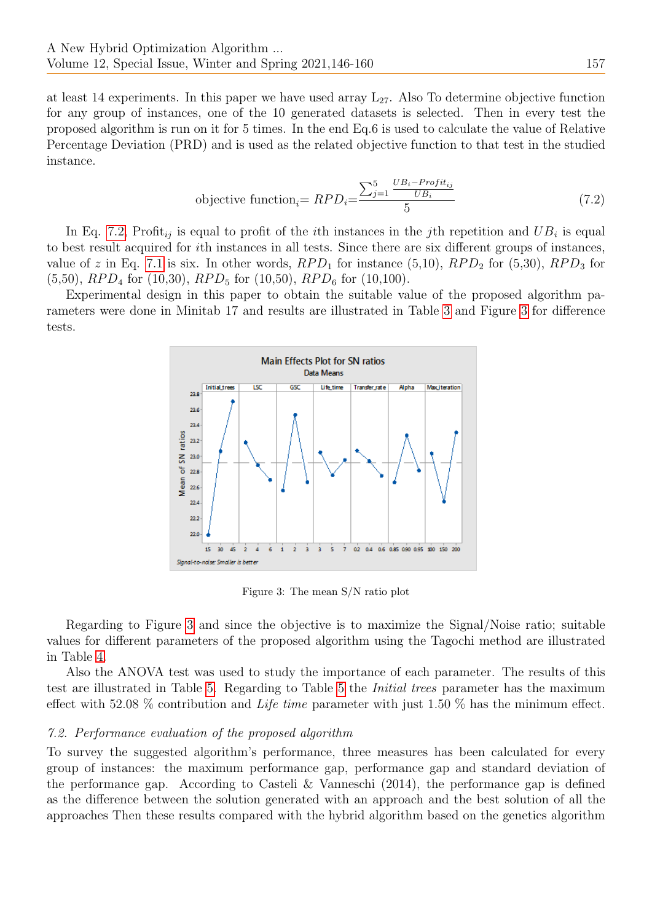at least 14 experiments. In this paper we have used array  $L_{27}$ . Also To determine objective function for any group of instances, one of the 10 generated datasets is selected. Then in every test the proposed algorithm is run on it for 5 times. In the end Eq.6 is used to calculate the value of Relative Percentage Deviation (PRD) and is used as the related objective function to that test in the studied instance.

<span id="page-11-0"></span>objective function<sub>i</sub> = 
$$
RPD_i = \frac{\sum_{j=1}^{5} \frac{UB_i - Profit_{ij}}{UB_i}}{5}
$$
 (7.2)

In Eq. [7.2,](#page-11-0) Profit<sub>ij</sub> is equal to profit of the *i*th instances in the *j*th repetition and  $UB_i$  is equal to best result acquired for ith instances in all tests. Since there are six different groups of instances, value of z in Eq. [7.1](#page-10-2) is six. In other words,  $RPD_1$  for instance (5,10),  $RPD_2$  for (5,30),  $RPD_3$  for  $(5,50)$ ,  $RPD<sub>4</sub>$  for  $(10,30)$ ,  $RPD<sub>5</sub>$  for  $(10,50)$ ,  $RPD<sub>6</sub>$  for  $(10,100)$ .

Experimental design in this paper to obtain the suitable value of the proposed algorithm parameters were done in Minitab 17 and results are illustrated in Table [3](#page-12-0) and Figure [3](#page-11-1) for difference tests.



<span id="page-11-1"></span>Figure 3: The mean S/N ratio plot

Regarding to Figure [3](#page-11-1) and since the objective is to maximize the Signal/Noise ratio; suitable values for different parameters of the proposed algorithm using the Tagochi method are illustrated in Table [4.](#page-12-1)

Also the ANOVA test was used to study the importance of each parameter. The results of this test are illustrated in Table [5.](#page-13-0) Regarding to Table [5](#page-13-0) the Initial trees parameter has the maximum effect with 52.08  $\%$  contribution and *Life time* parameter with just 1.50  $\%$  has the minimum effect.

#### 7.2. Performance evaluation of the proposed algorithm

To survey the suggested algorithm's performance, three measures has been calculated for every group of instances: the maximum performance gap, performance gap and standard deviation of the performance gap. According to Casteli & Vanneschi (2014), the performance gap is defined as the difference between the solution generated with an approach and the best solution of all the approaches Then these results compared with the hybrid algorithm based on the genetics algorithm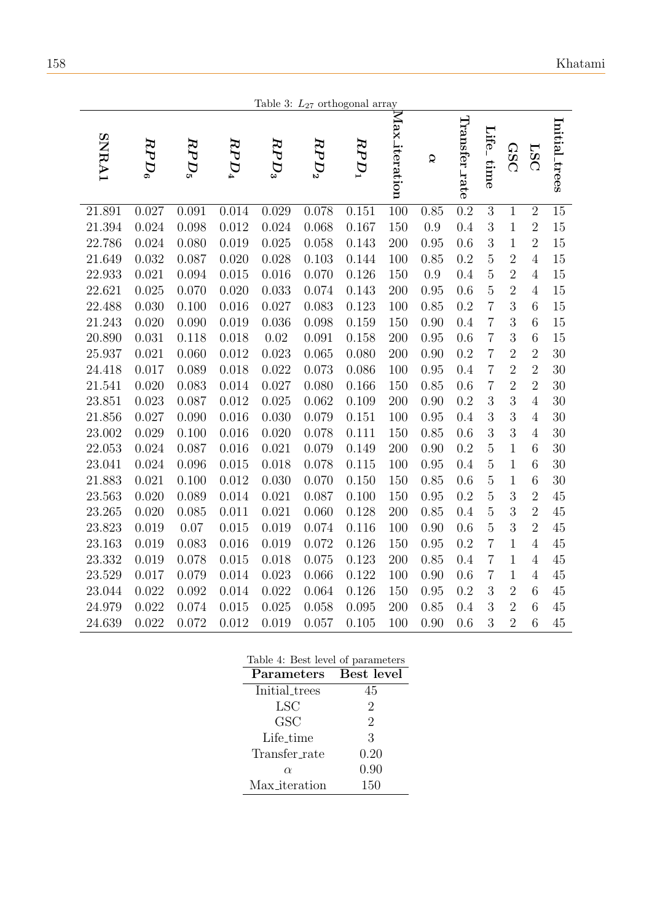<span id="page-12-0"></span>

|              |         |         |           |         |         | Table 3: $L_{27}$ orthogonal array |                  |      |                  |                           |                |                  |                 |
|--------------|---------|---------|-----------|---------|---------|------------------------------------|------------------|------|------------------|---------------------------|----------------|------------------|-----------------|
| <b>SNRA1</b> | $RPD_6$ | $RPD_5$ | $RPD_{4}$ | $RPD_3$ | $RPD_2$ | $RPD_1$                            | $Max\_iteration$ | Q    | Transfer_rate    | Life <sub>-</sub><br>time | GSC            | <b>LSC</b>       | Initial_trees   |
| 21.891       | 0.027   | 0.091   | 0.014     | 0.029   | 0.078   | 0.151                              | 100              | 0.85 | $\overline{0.2}$ | $\overline{3}$            | $\mathbf{1}$   | $\overline{2}$   | $\overline{15}$ |
| 21.394       | 0.024   | 0.098   | 0.012     | 0.024   | 0.068   | 0.167                              | 150              | 0.9  | 0.4              | 3                         | $\mathbf 1$    | $\overline{2}$   | 15              |
| 22.786       | 0.024   | 0.080   | 0.019     | 0.025   | 0.058   | 0.143                              | 200              | 0.95 | 0.6              | 3                         | $\mathbf{1}$   | $\overline{2}$   | 15              |
| 21.649       | 0.032   | 0.087   | 0.020     | 0.028   | 0.103   | 0.144                              | 100              | 0.85 | 0.2              | $\overline{5}$            | $\overline{2}$ | $\overline{4}$   | 15              |
| 22.933       | 0.021   | 0.094   | 0.015     | 0.016   | 0.070   | 0.126                              | 150              | 0.9  | 0.4              | $\overline{5}$            | $\overline{2}$ | $\overline{4}$   | 15              |
| 22.621       | 0.025   | 0.070   | 0.020     | 0.033   | 0.074   | 0.143                              | 200              | 0.95 | 0.6              | $\overline{5}$            | $\overline{2}$ | $\overline{4}$   | 15              |
| 22.488       | 0.030   | 0.100   | 0.016     | 0.027   | 0.083   | 0.123                              | 100              | 0.85 | 0.2              | $\overline{7}$            | 3              | 6                | 15              |
| 21.243       | 0.020   | 0.090   | 0.019     | 0.036   | 0.098   | 0.159                              | 150              | 0.90 | 0.4              | $\overline{7}$            | 3              | 6                | 15              |
| 20.890       | 0.031   | 0.118   | 0.018     | 0.02    | 0.091   | 0.158                              | 200              | 0.95 | 0.6              | $\overline{7}$            | 3              | 6                | 15              |
| 25.937       | 0.021   | 0.060   | 0.012     | 0.023   | 0.065   | 0.080                              | 200              | 0.90 | 0.2              | $\overline{7}$            | $\overline{2}$ | $\overline{2}$   | 30              |
| 24.418       | 0.017   | 0.089   | 0.018     | 0.022   | 0.073   | 0.086                              | 100              | 0.95 | 0.4              | $\overline{7}$            | $\overline{2}$ | $\overline{2}$   | 30              |
| 21.541       | 0.020   | 0.083   | 0.014     | 0.027   | 0.080   | 0.166                              | 150              | 0.85 | 0.6              | $\overline{7}$            | $\overline{2}$ | $\overline{2}$   | 30              |
| 23.851       | 0.023   | 0.087   | 0.012     | 0.025   | 0.062   | 0.109                              | 200              | 0.90 | 0.2              | 3                         | 3              | $\overline{4}$   | 30              |
| 21.856       | 0.027   | 0.090   | 0.016     | 0.030   | 0.079   | 0.151                              | 100              | 0.95 | 0.4              | 3                         | 3              | $\overline{4}$   | 30              |
| 23.002       | 0.029   | 0.100   | 0.016     | 0.020   | 0.078   | 0.111                              | 150              | 0.85 | 0.6              | 3                         | 3              | $\overline{4}$   | 30              |
| 22.053       | 0.024   | 0.087   | 0.016     | 0.021   | 0.079   | 0.149                              | 200              | 0.90 | 0.2              | $\overline{5}$            | $\mathbf{1}$   | 6                | 30              |
| 23.041       | 0.024   | 0.096   | 0.015     | 0.018   | 0.078   | 0.115                              | 100              | 0.95 | 0.4              | $\overline{5}$            | $\mathbf{1}$   | 6                | 30              |
| 21.883       | 0.021   | 0.100   | 0.012     | 0.030   | 0.070   | 0.150                              | 150              | 0.85 | 0.6              | $\overline{5}$            | $\mathbf{1}$   | $\boldsymbol{6}$ | 30              |
| 23.563       | 0.020   | 0.089   | 0.014     | 0.021   | 0.087   | 0.100                              | 150              | 0.95 | 0.2              | $\overline{5}$            | 3              | $\overline{2}$   | 45              |
| 23.265       | 0.020   | 0.085   | 0.011     | 0.021   | 0.060   | 0.128                              | 200              | 0.85 | 0.4              | $\overline{5}$            | 3              | $\overline{2}$   | 45              |
| 23.823       | 0.019   | 0.07    | 0.015     | 0.019   | 0.074   | 0.116                              | 100              | 0.90 | 0.6              | $\overline{5}$            | 3              | $\overline{2}$   | 45              |
| 23.163       | 0.019   | 0.083   | 0.016     | 0.019   | 0.072   | 0.126                              | 150              | 0.95 | 0.2              | $\overline{7}$            | $\mathbf{1}$   | $\overline{4}$   | 45              |
| 23.332       | 0.019   | 0.078   | 0.015     | 0.018   | 0.075   | 0.123                              | 200              | 0.85 | 0.4              | $\overline{7}$            | $\mathbf{1}$   | $\overline{4}$   | 45              |
| 23.529       | 0.017   | 0.079   | 0.014     | 0.023   | 0.066   | 0.122                              | 100              | 0.90 | 0.6              | $\overline{7}$            | $\mathbf{1}$   | $\overline{4}$   | 45              |
| 23.044       | 0.022   | 0.092   | 0.014     | 0.022   | 0.064   | 0.126                              | 150              | 0.95 | 0.2              | 3                         | $\overline{2}$ | 6                | 45              |
| 24.979       | 0.022   | 0.074   | 0.015     | 0.025   | 0.058   | 0.095                              | 200              | 0.85 | 0.4              | 3                         | $\overline{2}$ | 6                | 45              |
| 24.639       | 0.022   | 0.072   | 0.012     | 0.019   | 0.057   | 0.105                              | 100              | 0.90 | 0.6              | 3                         | $\overline{2}$ | 6                | 45              |

<span id="page-12-1"></span>

| Table 4: Best level of parameters |            |
|-----------------------------------|------------|
| Parameters                        | Best level |
| <b>Initial_trees</b>              | 45         |
| <b>LSC</b>                        | 2          |
| GSC                               | 2          |
| Life_time                         | 3          |
| Transfer_rate                     | 0.20       |
| $\alpha$                          | 0.90       |
| Max_iteration                     | 150        |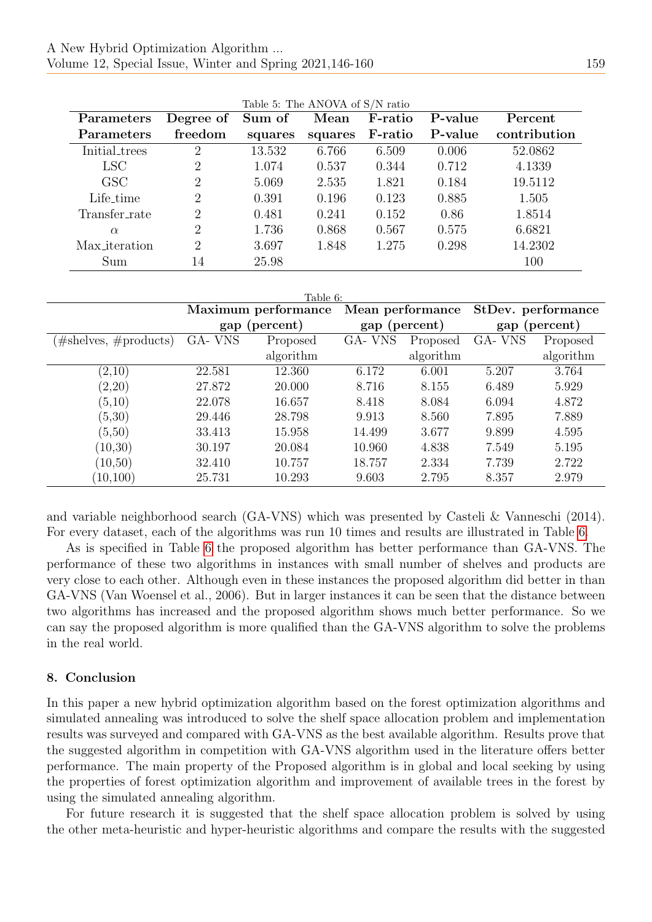<span id="page-13-0"></span>

| Parameters       | Degree of      | Sum of  | Mean    | F-ratio | P-value | Percent      |
|------------------|----------------|---------|---------|---------|---------|--------------|
| Parameters       | freedom        | squares | squares | F-ratio | P-value | contribution |
| Initial_trees    | 2              | 13.532  | 6.766   | 6.509   | 0.006   | 52.0862      |
| LSC <sup>.</sup> | 2              | 1.074   | 0.537   | 0.344   | 0.712   | 4.1339       |
| <b>GSC</b>       | $\overline{2}$ | 5.069   | 2.535   | 1.821   | 0.184   | 19.5112      |
| Life_time        | 2              | 0.391   | 0.196   | 0.123   | 0.885   | 1.505        |
| Transfer_rate    | $\overline{2}$ | 0.481   | 0.241   | 0.152   | 0.86    | 1.8514       |
| $\alpha$         | $\overline{2}$ | 1.736   | 0.868   | 0.567   | 0.575   | 6.6821       |
| Max_iteration    | 2              | 3.697   | 1.848   | 1.275   | 0.298   | 14.2302      |
| Sum              | 14             | 25.98   |         |         |         | 100          |

|  |  | Table 5: The ANOVA of S/N ratio |  |  |  |
|--|--|---------------------------------|--|--|--|
|--|--|---------------------------------|--|--|--|

<span id="page-13-1"></span>

| Table 6:                     |                     |           |                  |          |                    |           |  |  |
|------------------------------|---------------------|-----------|------------------|----------|--------------------|-----------|--|--|
|                              | Maximum performance |           | Mean performance |          | StDev. performance |           |  |  |
|                              | (percent)<br>gap    |           | gap (percent)    |          | gap (percent)      |           |  |  |
| $\#$ shelves, $\#$ products) | GA-VNS<br>Proposed  |           | GA-VNS           | Proposed | GA-VNS             | Proposed  |  |  |
|                              |                     | algorithm | algorithm        |          |                    | algorithm |  |  |
| (2,10)                       | 22.581              | 12.360    | 6.172            | 6.001    | 5.207              | 3.764     |  |  |
| (2,20)                       | 27.872              | 20.000    | 8.716            | 8.155    | 6.489              | 5.929     |  |  |
| (5,10)                       | 22.078              | 16.657    | 8.418            | 8.084    | 6.094              | 4.872     |  |  |
| (5,30)                       | 29.446              | 28.798    | 9.913            | 8.560    | 7.895              | 7.889     |  |  |
| (5,50)                       | 33.413              | 15.958    | 14.499           | 3.677    | 9.899              | 4.595     |  |  |
| (10, 30)                     | 30.197              | 20.084    | 10.960           | 4.838    | 7.549              | 5.195     |  |  |
| (10, 50)                     | 32.410              | 10.757    | 18.757           | 2.334    | 7.739              | 2.722     |  |  |
| (10, 100)                    | 25.731              | 10.293    | 9.603            | 2.795    | 8.357              | 2.979     |  |  |

and variable neighborhood search (GA-VNS) which was presented by Casteli & Vanneschi (2014). For every dataset, each of the algorithms was run 10 times and results are illustrated in Table [6.](#page-13-1)

As is specified in Table [6](#page-13-1) the proposed algorithm has better performance than GA-VNS. The performance of these two algorithms in instances with small number of shelves and products are very close to each other. Although even in these instances the proposed algorithm did better in than GA-VNS (Van Woensel et al., 2006). But in larger instances it can be seen that the distance between two algorithms has increased and the proposed algorithm shows much better performance. So we can say the proposed algorithm is more qualified than the GA-VNS algorithm to solve the problems in the real world.

#### 8. Conclusion

In this paper a new hybrid optimization algorithm based on the forest optimization algorithms and simulated annealing was introduced to solve the shelf space allocation problem and implementation results was surveyed and compared with GA-VNS as the best available algorithm. Results prove that the suggested algorithm in competition with GA-VNS algorithm used in the literature offers better performance. The main property of the Proposed algorithm is in global and local seeking by using the properties of forest optimization algorithm and improvement of available trees in the forest by using the simulated annealing algorithm.

For future research it is suggested that the shelf space allocation problem is solved by using the other meta-heuristic and hyper-heuristic algorithms and compare the results with the suggested